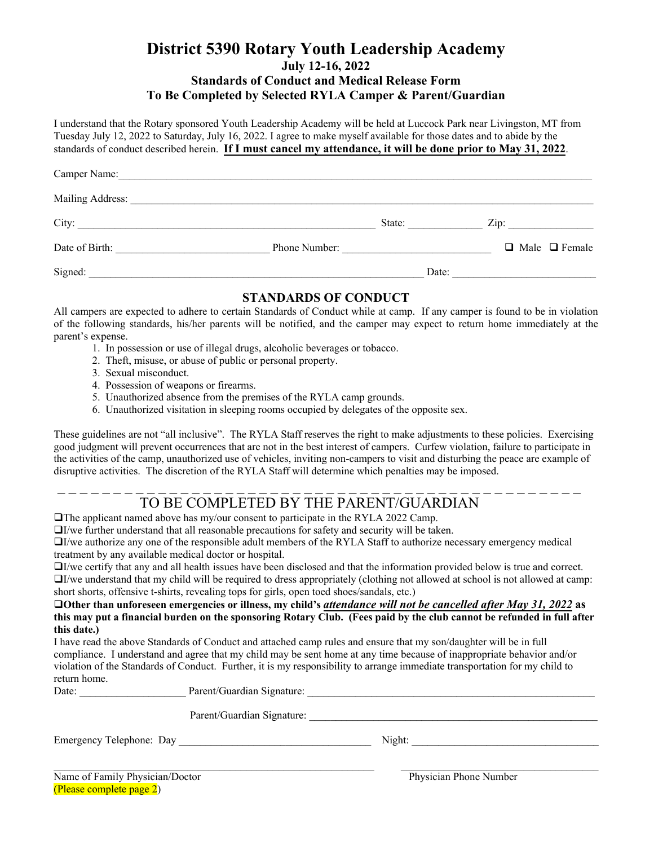### **District 5390 Rotary Youth Leadership Academy July 12-16, 2022 Standards of Conduct and Medical Release Form To Be Completed by Selected RYLA Camper & Parent/Guardian**

I understand that the Rotary sponsored Youth Leadership Academy will be held at Luccock Park near Livingston, MT from Tuesday July 12, 2022 to Saturday, July 16, 2022. I agree to make myself available for those dates and to abide by the standards of conduct described herein. **If I must cancel my attendance, it will be done prior to May 31, 2022**.

| Camper Name:                                                                                                                                                                                                                   |               |        |                 |                           |
|--------------------------------------------------------------------------------------------------------------------------------------------------------------------------------------------------------------------------------|---------------|--------|-----------------|---------------------------|
| Mailing Address: National Address: National Address: National Address: National Address: National Address: National Address: National Address: National Address: National Address: National Address: National Address: Nationa |               |        |                 |                           |
| City:                                                                                                                                                                                                                          |               | State: | $\mathsf{Zip:}$ |                           |
| Date of Birth:                                                                                                                                                                                                                 | Phone Number: |        |                 | $\Box$ Male $\Box$ Female |
| Signed:                                                                                                                                                                                                                        |               |        | Date:           |                           |

#### **STANDARDS OF CONDUCT**

All campers are expected to adhere to certain Standards of Conduct while at camp. If any camper is found to be in violation of the following standards, his/her parents will be notified, and the camper may expect to return home immediately at the parent's expense.

- 1. In possession or use of illegal drugs, alcoholic beverages or tobacco.
- 2. Theft, misuse, or abuse of public or personal property.
- 3. Sexual misconduct.
- 4. Possession of weapons or firearms.
- 5. Unauthorized absence from the premises of the RYLA camp grounds.
- 6. Unauthorized visitation in sleeping rooms occupied by delegates of the opposite sex.

These guidelines are not "all inclusive". The RYLA Staff reserves the right to make adjustments to these policies. Exercising good judgment will prevent occurrences that are not in the best interest of campers. Curfew violation, failure to participate in the activities of the camp, unauthorized use of vehicles, inviting non-campers to visit and disturbing the peace are example of disruptive activities. The discretion of the RYLA Staff will determine which penalties may be imposed.

# TO BE COMPLETED BY THE PARENT/GUARDIAN

The applicant named above has my/our consent to participate in the RYLA 2022 Camp.

 $\Box$ *I*/we further understand that all reasonable precautions for safety and security will be taken.

I/we authorize any one of the responsible adult members of the RYLA Staff to authorize necessary emergency medical treatment by any available medical doctor or hospital.

I/we certify that any and all health issues have been disclosed and that the information provided below is true and correct.  $\Box$ I/we understand that my child will be required to dress appropriately (clothing not allowed at school is not allowed at camp: short shorts, offensive t-shirts, revealing tops for girls, open toed shoes/sandals, etc.)

**Other than unforeseen emergencies or illness, my child's** *attendance will not be cancelled after May 31, 2022* **as this may put a financial burden on the sponsoring Rotary Club. (Fees paid by the club cannot be refunded in full after this date.)**

I have read the above Standards of Conduct and attached camp rules and ensure that my son/daughter will be in full compliance. I understand and agree that my child may be sent home at any time because of inappropriate behavior and/or violation of the Standards of Conduct. Further, it is my responsibility to arrange immediate transportation for my child to return home.

| TUUTII IIUIIIU.<br>Date: | Parent/Guardian Signature: |
|--------------------------|----------------------------|
|                          | Parent/Guardian Signature: |

Emergency Telephone: Day \_\_\_\_\_\_\_\_\_\_\_\_\_\_\_\_\_\_\_\_\_\_\_\_\_\_\_\_\_\_\_\_\_\_\_\_ Night: \_\_\_\_\_\_\_\_\_\_\_\_\_\_\_\_\_\_\_\_\_\_\_\_\_\_\_\_\_\_\_\_\_\_\_

| Name of Family Physician/Doctor |
|---------------------------------|
| (Please complete page 2)        |

Physician Phone Number